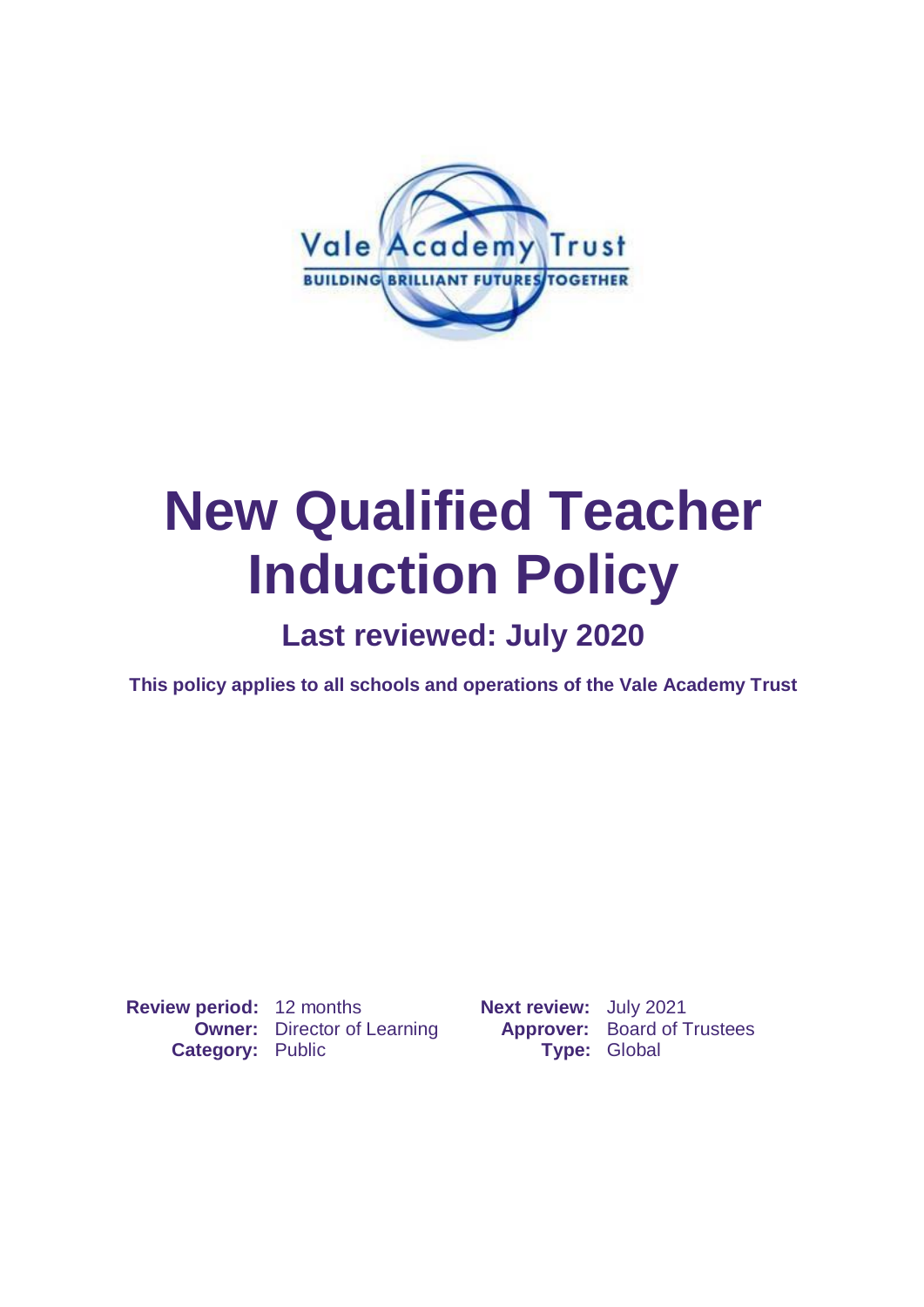

# **New Qualified Teacher Induction Policy**

## **Last reviewed: July 2020**

**This policy applies to all schools and operations of the Vale Academy Trust**

**Review period:** 12 months **Next review:** July 2021 **Category:** Public **Type:** Global

**Owner:** Director of Learning **Approver:** Board of Trustees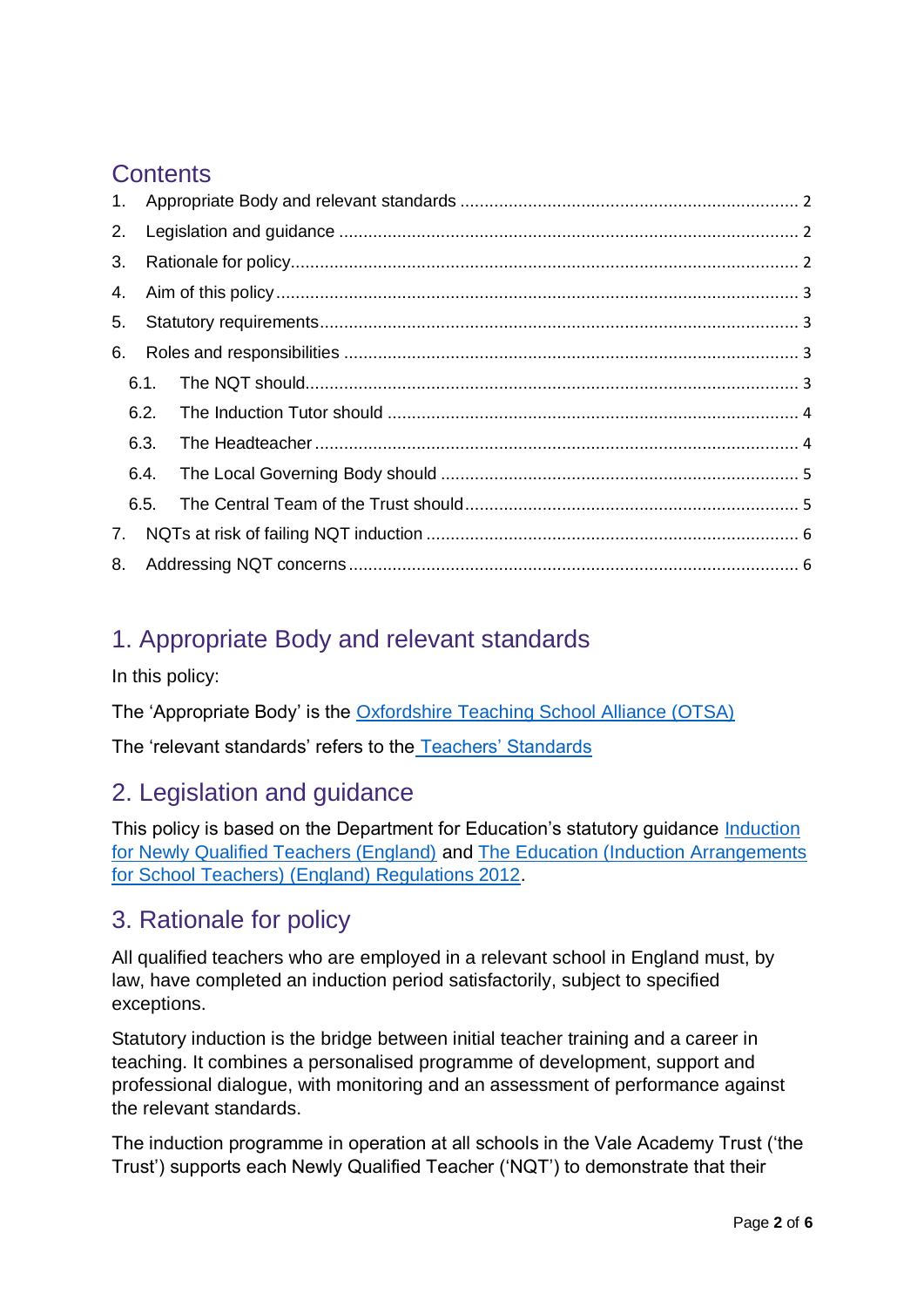## **Contents**

| 2. |      |      |  |
|----|------|------|--|
| 3. |      |      |  |
|    |      |      |  |
| 5. |      |      |  |
| 6. |      |      |  |
|    |      |      |  |
|    |      | 6.2. |  |
|    | 6.3. |      |  |
|    | 6.4. |      |  |
|    | 6.5. |      |  |
| 7. |      |      |  |
| 8. |      |      |  |

## <span id="page-1-0"></span>1. Appropriate Body and relevant standards

In this policy:

The 'Appropriate Body' is the [Oxfordshire Teaching School Alliance \(OTSA\)](https://www.otsa.org.uk/)

The 'relevant standards' refers to the [Teachers' Standards](https://www.gov.uk/government/publications/teachers-standards)

## <span id="page-1-1"></span>2. Legislation and guidance

This policy is based on the Department for Education's statutory guidance [Induction](https://www.gov.uk/government/publications/induction-for-newly-qualified-teachers-nqts) [for Newly Qualified Teachers \(England\)](https://www.gov.uk/government/publications/induction-for-newly-qualified-teachers-nqts) and [The Education \(Induction Arrangements](http://www.legislation.gov.uk/uksi/2012/1115/contents/made) [for School Teachers\) \(England\) Regulations 2012.](http://www.legislation.gov.uk/uksi/2012/1115/contents/made)

## <span id="page-1-2"></span>3. Rationale for policy

All qualified teachers who are employed in a relevant school in England must, by law, have completed an induction period satisfactorily, subject to specified exceptions.

Statutory induction is the bridge between initial teacher training and a career in teaching. It combines a personalised programme of development, support and professional dialogue, with monitoring and an assessment of performance against the relevant standards.

The induction programme in operation at all schools in the Vale Academy Trust ('the Trust') supports each Newly Qualified Teacher ('NQT') to demonstrate that their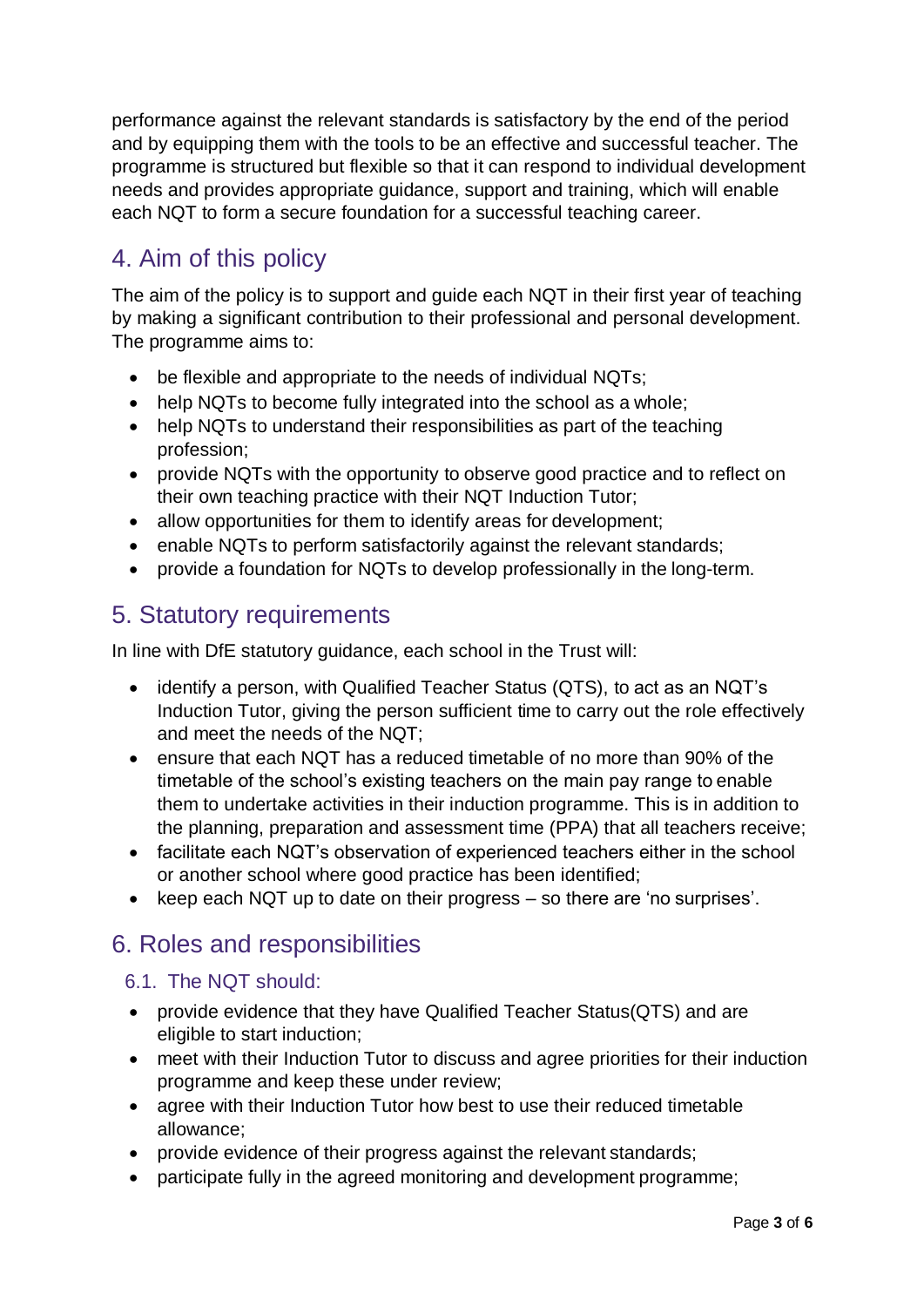performance against the relevant standards is satisfactory by the end of the period and by equipping them with the tools to be an effective and successful teacher. The programme is structured but flexible so that it can respond to individual development needs and provides appropriate guidance, support and training, which will enable each NQT to form a secure foundation for a successful teaching career.

## <span id="page-2-0"></span>4. Aim of this policy

The aim of the policy is to support and guide each NQT in their first year of teaching by making a significant contribution to their professional and personal development. The programme aims to:

- be flexible and appropriate to the needs of individual NQTs;
- help NQTs to become fully integrated into the school as a whole:
- help NQTs to understand their responsibilities as part of the teaching profession;
- provide NQTs with the opportunity to observe good practice and to reflect on their own teaching practice with their NQT Induction Tutor;
- allow opportunities for them to identify areas for development;
- enable NQTs to perform satisfactorily against the relevant standards;
- provide a foundation for NQTs to develop professionally in the long-term.

#### <span id="page-2-1"></span>5. Statutory requirements

In line with DfE statutory guidance, each school in the Trust will:

- identify a person, with Qualified Teacher Status (QTS), to act as an NQT's Induction Tutor, giving the person sufficient time to carry out the role effectively and meet the needs of the NQT;
- ensure that each NQT has a reduced timetable of no more than 90% of the timetable of the school's existing teachers on the main pay range to enable them to undertake activities in their induction programme. This is in addition to the planning, preparation and assessment time (PPA) that all teachers receive;
- facilitate each NQT's observation of experienced teachers either in the school or another school where good practice has been identified;
- keep each NQT up to date on their progress so there are 'no surprises'.

## <span id="page-2-2"></span>6. Roles and responsibilities

#### <span id="page-2-3"></span>6.1. The NQT should:

- provide evidence that they have Qualified Teacher Status(QTS) and are eligible to start induction;
- meet with their Induction Tutor to discuss and agree priorities for their induction programme and keep these under review;
- agree with their Induction Tutor how best to use their reduced timetable allowance;
- provide evidence of their progress against the relevant standards;
- participate fully in the agreed monitoring and development programme;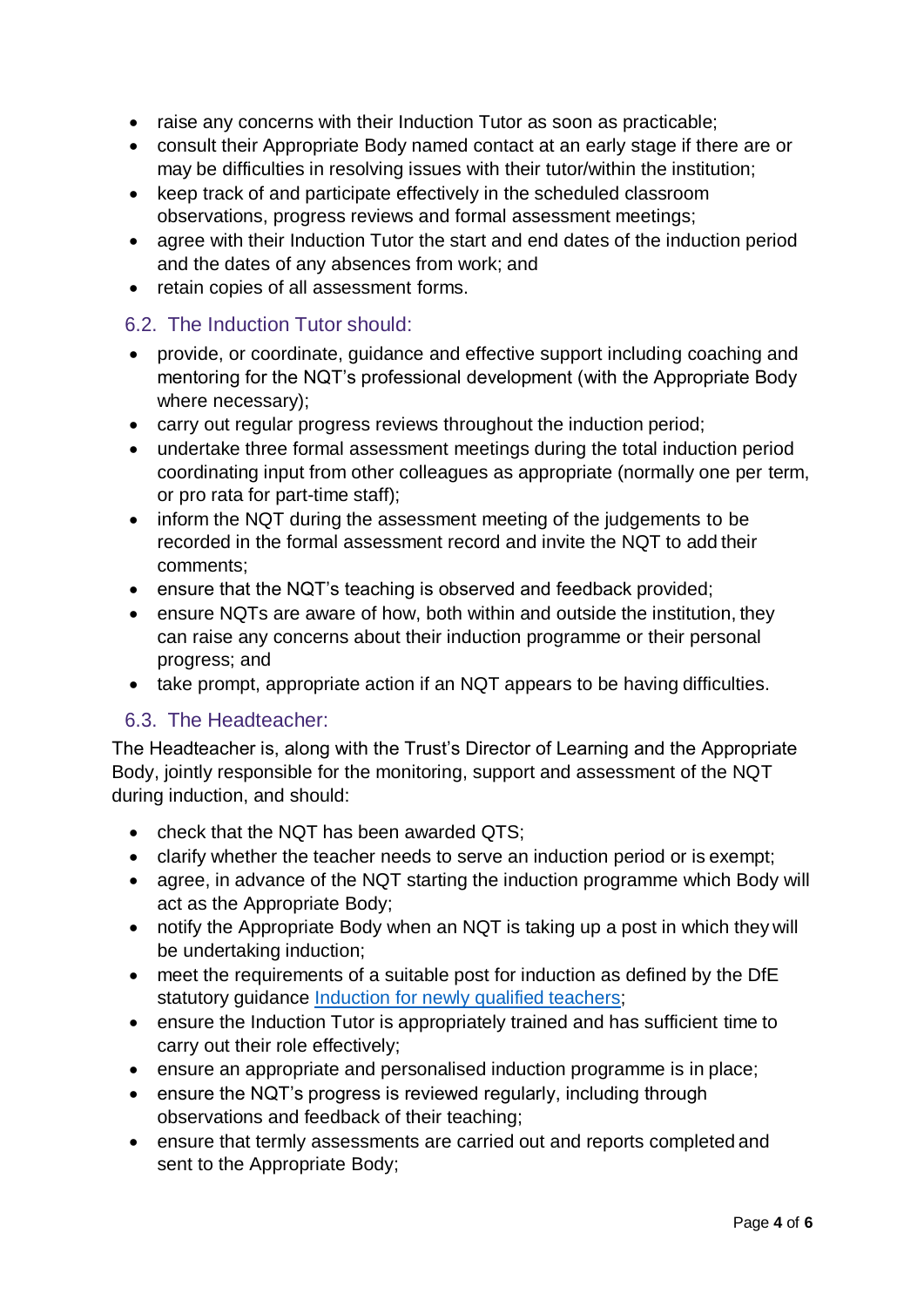- raise any concerns with their Induction Tutor as soon as practicable;
- consult their Appropriate Body named contact at an early stage if there are or may be difficulties in resolving issues with their tutor/within the institution;
- keep track of and participate effectively in the scheduled classroom observations, progress reviews and formal assessment meetings;
- agree with their Induction Tutor the start and end dates of the induction period and the dates of any absences from work; and
- retain copies of all assessment forms.

#### <span id="page-3-0"></span>6.2. The Induction Tutor should:

- provide, or coordinate, guidance and effective support including coaching and mentoring for the NQT's professional development (with the Appropriate Body where necessary);
- carry out regular progress reviews throughout the induction period;
- undertake three formal assessment meetings during the total induction period coordinating input from other colleagues as appropriate (normally one per term, or pro rata for part-time staff);
- inform the NQT during the assessment meeting of the judgements to be recorded in the formal assessment record and invite the NQT to add their comments;
- ensure that the NQT's teaching is observed and feedback provided;
- ensure NQTs are aware of how, both within and outside the institution, they can raise any concerns about their induction programme or their personal progress; and
- take prompt, appropriate action if an NQT appears to be having difficulties.

#### <span id="page-3-1"></span>6.3. The Headteacher:

The Headteacher is, along with the Trust's Director of Learning and the Appropriate Body, jointly responsible for the monitoring, support and assessment of the NQT during induction, and should:

- check that the NOT has been awarded QTS:
- clarify whether the teacher needs to serve an induction period or is exempt;
- agree, in advance of the NQT starting the induction programme which Body will act as the Appropriate Body;
- notify the Appropriate Body when an NQT is taking up a post in which they will be undertaking induction;
- meet the requirements of a suitable post for induction as defined by the DfE statutory quidance [Induction for newly qualified](https://www.gov.uk/government/publications/induction-for-newly-qualified-teachers-nqts) teachers;
- ensure the Induction Tutor is appropriately trained and has sufficient time to carry out their role effectively;
- ensure an appropriate and personalised induction programme is in place;
- ensure the NQT's progress is reviewed regularly, including through observations and feedback of their teaching;
- ensure that termly assessments are carried out and reports completed and sent to the Appropriate Body;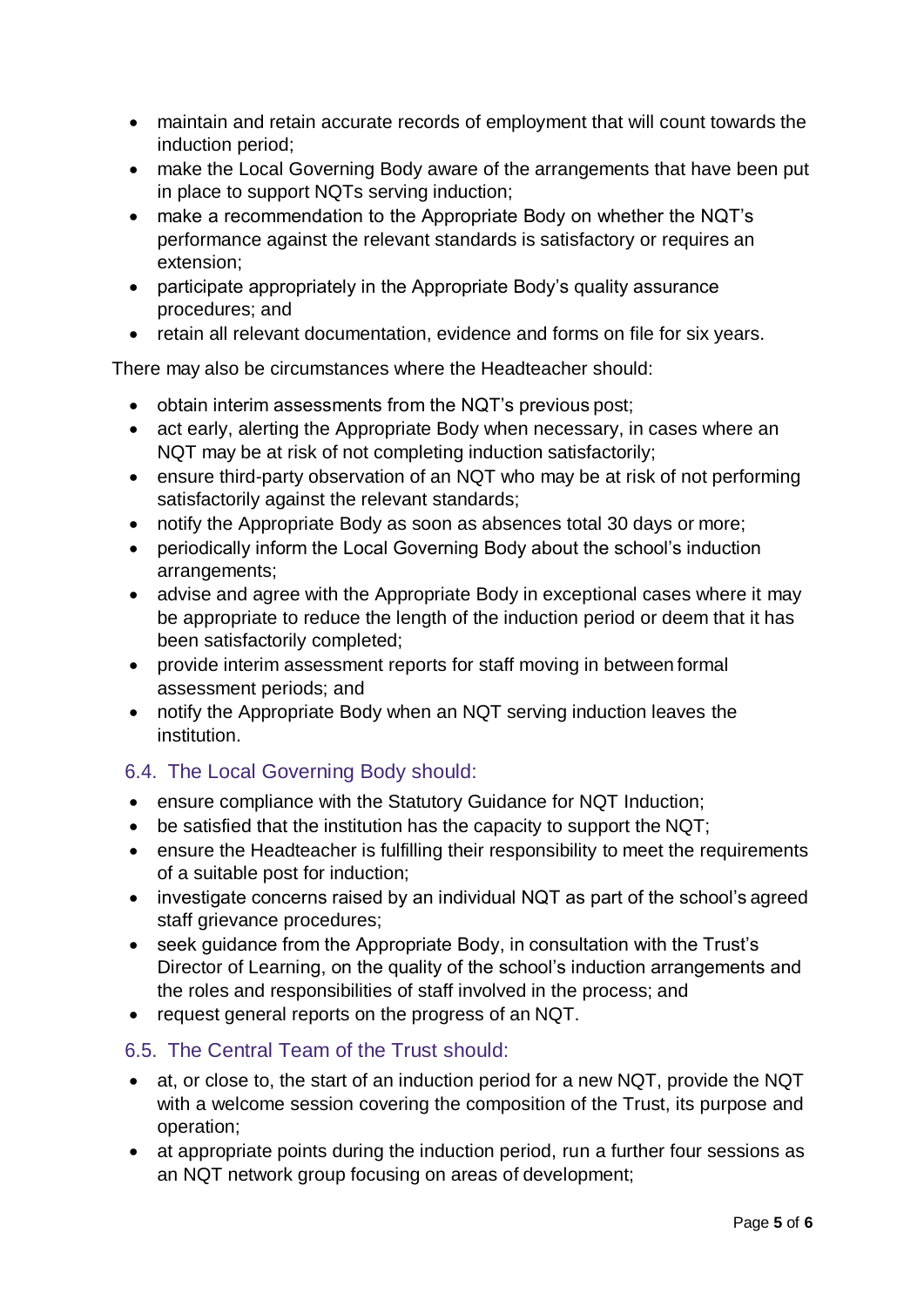- maintain and retain accurate records of employment that will count towards the induction period;
- make the Local Governing Body aware of the arrangements that have been put in place to support NQTs serving induction;
- make a recommendation to the Appropriate Body on whether the NQT's performance against the relevant standards is satisfactory or requires an extension;
- participate appropriately in the Appropriate Body's quality assurance procedures; and
- retain all relevant documentation, evidence and forms on file for six years.

There may also be circumstances where the Headteacher should:

- obtain interim assessments from the NQT's previous post;
- act early, alerting the Appropriate Body when necessary, in cases where an NQT may be at risk of not completing induction satisfactorily;
- ensure third-party observation of an NQT who may be at risk of not performing satisfactorily against the relevant standards;
- notify the Appropriate Body as soon as absences total 30 days or more;
- periodically inform the Local Governing Body about the school's induction arrangements;
- advise and agree with the Appropriate Body in exceptional cases where it may be appropriate to reduce the length of the induction period or deem that it has been satisfactorily completed;
- provide interim assessment reports for staff moving in between formal assessment periods; and
- notify the Appropriate Body when an NQT serving induction leaves the institution.

#### <span id="page-4-0"></span>6.4. The Local Governing Body should:

- ensure compliance with the Statutory Guidance for NQT Induction;
- be satisfied that the institution has the capacity to support the NQT;
- ensure the Headteacher is fulfilling their responsibility to meet the requirements of a suitable post for induction;
- investigate concerns raised by an individual NQT as part of the school's agreed staff grievance procedures;
- seek guidance from the Appropriate Body, in consultation with the Trust's Director of Learning, on the quality of the school's induction arrangements and the roles and responsibilities of staff involved in the process; and
- request general reports on the progress of an NQT.

#### <span id="page-4-1"></span>6.5. The Central Team of the Trust should:

- at, or close to, the start of an induction period for a new NQT, provide the NQT with a welcome session covering the composition of the Trust, its purpose and operation;
- at appropriate points during the induction period, run a further four sessions as an NQT network group focusing on areas of development;